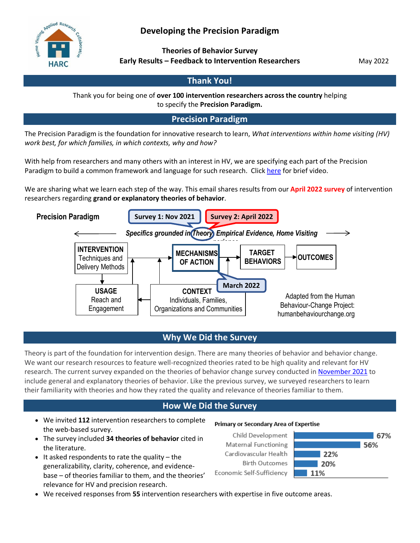# **Developing the Precision Paradigm**



**Theories of Behavior Survey Early Results – Feedback to Intervention Researchers**

May 2022

# **Thank You!**

Thank you for being one of **over 100 intervention researchers across the country** helping to specify the **Precision Paradigm.**

**Precision Paradigm**

The Precision Paradigm is the foundation for innovative research to learn, *What interventions within home visiting (HV) work best, for which families, in which contexts, why and how?*

With help from researchers and many others with an interest in HV, we are specifying each part of the Precision Paradigm to build a common framework and language for such research. Click [here](https://www.youtube.com/watch?v=e7Ece4hF9oY) for brief video.

We are sharing what we learn each step of the way. This email shares results from our **April 2022 survey** of intervention researchers regarding **grand or explanatory theories of behavior**.



## **Why We Did the Survey**

Theory is part of the foundation for intervention design. There are many theories of behavior and behavior change. We want our research resources to feature well-recognized theories rated to be high quality and relevant for HV research. The current survey expanded on the theories of behavior change survey conducted in [November 2021](http://www.hvresearch.org/wp-content/uploads/2022/03/IR-Feedback-Report_FINAL.pdf) to include general and explanatory theories of behavior. Like the previous survey, we surveyed researchers to learn their familiarity with theories and how they rated the quality and relevance of theories familiar to them.

## **How We Did the Survey**

- We invited **112** intervention researchers to complete the web-based survey.
- The survey included **34 theories of behavior** cited in the literature.
- $\bullet$  It asked respondents to rate the quality the generalizability, clarity, coherence, and evidencebase – of theories familiar to them, and the theories' relevance for HV and precision research.

#### Primary or Secondary Area of Expertise

Child Development Maternal Functioning Cardiovascular Health **Birth Outcomes** Economic Self-Sufficiency



• We received responses from **55** intervention researchers with expertise in five outcome areas.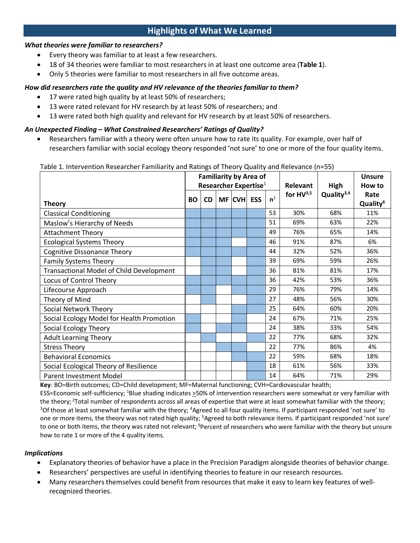## **Highlights of What We Learned**

### *What theories were familiar to researchers?*

- Every theory was familiar to at least a few researchers.
- 18 of 34 theories were familiar to most researchers in at least one outcome area (**Table 1**).
- Only 5 theories were familiar to most researchers in all five outcome areas.

### *How did researchers rate the quality and HV relevance of the theories familiar to them?*

- 17 were rated high quality by at least 50% of researchers;
- 13 were rated relevant for HV research by at least 50% of researchers; and
- 13 were rated both high quality and relevant for HV research by at least 50% of researchers.

### *An Unexpected Finding – What Constrained Researchers' Ratings of Quality?*

Researchers familiar with a theory were often unsure how to rate its quality. For example, over half of researchers familiar with social ecology theory responded 'not sure' to one or more of the four quality items.

| Table 1. Thich vehiclen researcher Familianty and Rathigs of Theory Quality and Relevance (11–55) |                               |           |  |            |  |                |                 |                        |                      |
|---------------------------------------------------------------------------------------------------|-------------------------------|-----------|--|------------|--|----------------|-----------------|------------------------|----------------------|
|                                                                                                   | <b>Familiarity by Area of</b> |           |  |            |  |                |                 |                        | <b>Unsure</b>        |
|                                                                                                   | Researcher Expertise $1$      |           |  |            |  |                | <b>Relevant</b> | High                   | How to               |
|                                                                                                   | <b>BO</b>                     | <b>CD</b> |  | MF CVH ESS |  | n <sup>2</sup> | for $HV^{3,5}$  | Quality <sup>3,4</sup> | Rate                 |
| <b>Theory</b>                                                                                     |                               |           |  |            |  |                |                 |                        | Quality <sup>6</sup> |
| <b>Classical Conditioning</b>                                                                     |                               |           |  |            |  | 53             | 30%             | 68%                    | 11%                  |
| Maslow's Hierarchy of Needs                                                                       |                               |           |  |            |  | 51             | 69%             | 63%                    | 22%                  |
| <b>Attachment Theory</b>                                                                          |                               |           |  |            |  | 49             | 76%             | 65%                    | 14%                  |
| <b>Ecological Systems Theory</b>                                                                  |                               |           |  |            |  | 46             | 91%             | 87%                    | 6%                   |
| <b>Cognitive Dissonance Theory</b>                                                                |                               |           |  |            |  | 44             | 32%             | 52%                    | 36%                  |
| <b>Family Systems Theory</b>                                                                      |                               |           |  |            |  | 39             | 69%             | 59%                    | 26%                  |
| <b>Transactional Model of Child Development</b>                                                   |                               |           |  |            |  | 36             | 81%             | 81%                    | 17%                  |
| Locus of Control Theory                                                                           |                               |           |  |            |  | 36             | 42%             | 53%                    | 36%                  |
| Lifecourse Approach                                                                               |                               |           |  |            |  | 29             | 76%             | 79%                    | 14%                  |
| Theory of Mind                                                                                    |                               |           |  |            |  | 27             | 48%             | 56%                    | 30%                  |
| <b>Social Network Theory</b>                                                                      |                               |           |  |            |  | 25             | 64%             | 60%                    | 20%                  |
| Social Ecology Model for Health Promotion                                                         |                               |           |  |            |  | 24             | 67%             | 71%                    | 25%                  |
| Social Ecology Theory                                                                             |                               |           |  |            |  | 24             | 38%             | 33%                    | 54%                  |
| <b>Adult Learning Theory</b>                                                                      |                               |           |  |            |  | 22             | 77%             | 68%                    | 32%                  |
| <b>Stress Theory</b>                                                                              |                               |           |  |            |  | 22             | 77%             | 86%                    | 4%                   |
| <b>Behavioral Economics</b>                                                                       |                               |           |  |            |  | 22             | 59%             | 68%                    | 18%                  |
| Social Ecological Theory of Resilience                                                            |                               |           |  |            |  | 18             | 61%             | 56%                    | 33%                  |
| <b>Parent Investment Model</b>                                                                    |                               |           |  |            |  | 14             | 64%             | 71%                    | 29%                  |

#### Table 1. Intervention Researcher Familiarity and Ratings of Theory Quality and Relevance (n=55)

**Key**: BO=Birth outcomes; CD=Child development; MF=Maternal functioning; CVH=Cardiovascular health;

ESS=Economic self-sufficiency; <sup>1</sup>Blue shading indicates >50% of intervention researchers were somewhat or very familiar with the theory; <sup>2</sup>Total number of respondents across all areas of expertise that were at least somewhat familiar with the theory;<br><sup>3</sup>Of those at least somewhat familiar with the theory: <sup>4</sup>Agreed to all four quality items. If Of those at least somewhat familiar with the theory; <sup>4</sup>Agreed to all four quality items. If participant responded 'not sure' to one or more items, the theory was not rated high quality; <sup>5</sup>Agreed to both relevance items. If participant responded 'not sure' to one or both items, the theory was rated not relevant; <sup>6</sup>Percent of researchers who were familiar with the theory but unsure how to rate 1 or more of the 4 quality items.

#### *Implications*

- Explanatory theories of behavior have a place in the Precision Paradigm alongside theories of behavior change.
- Researchers' perspectives are useful in identifying theories to feature in our research resources.
- Many researchers themselves could benefit from resources that make it easy to learn key features of wellrecognized theories.